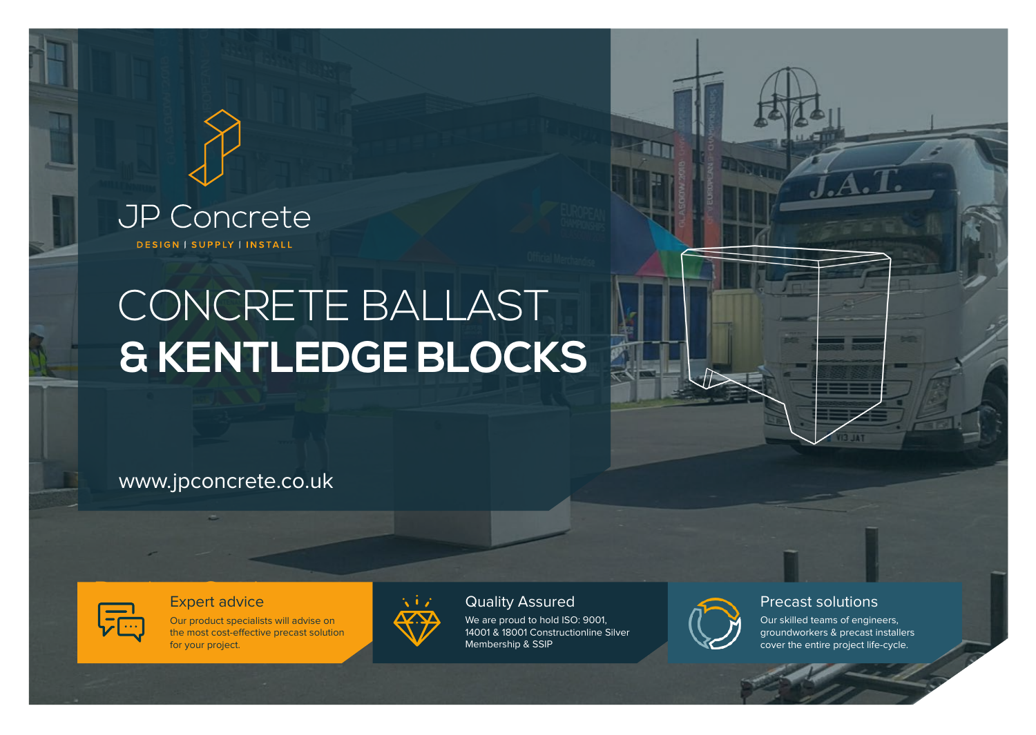## **JP Concrete** DESIGN | SUPPLY | INSTALL

# CONCRETE BALLAST **& KENTLEDGE BLOCKS**

## www.jpconcrete.co.uk



## Expert advice

Our product specialists will advise on the most cost-effective precast solution for your project.



### Quality Assured

We are proud to hold ISO: 9001. 14001 & 18001 Constructionline Silver Membership & SSIP



### Precast solutions

Our skilled teams of engineers, groundworkers & precast installers cover the entire project life-cycle.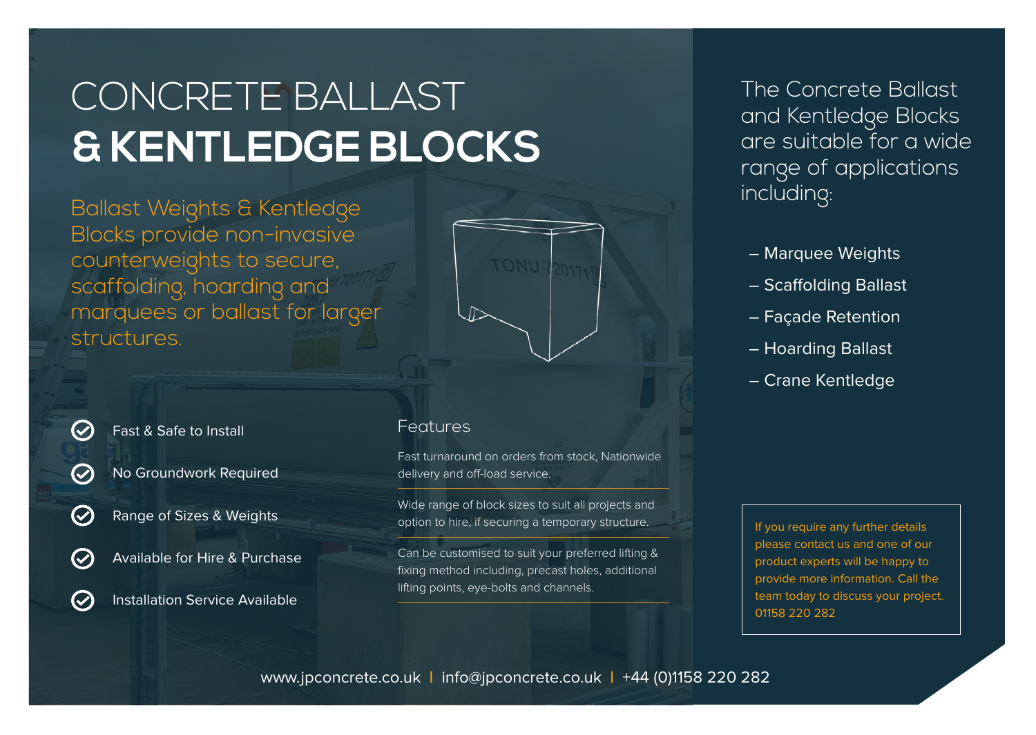# CONCRETE BALLAST **& KENTLEDGE BLOCKS**

Ballast Weights & Kentledge Blocks provide non-invasive counterweights to secure, scaffolding, hoarding and marquees or ballast for larger **structures** 



Fast & Safe to Install

 $\bm{\mathcal{C}}$ 

 $\bm{\mathcal{C}}$ 

 $\boldsymbol{C}$ 

 $\bm{C}$ 

 $\bigcirc$ 

No Groundwork Required

Range of Sizes & Weights

Available for Hire & Purchase

Installation Service Available

### Features

Fast turnaround on orders from stock, Nationwide delivery and off-load service.

Wide range of block sizes to suit all projects and option to hire, if securing a temporary structure.

Can be customised to suit your preferred lifting & fixing method including, precast holes, additional lifting points, eye-bolts and channels.

The Concrete Ballast and Kentledge Blocks are suitable for a wide range of applications including:

- Marquee Weights
- Scaffolding Ballast
- Façade Retention
- Hoarding Ballast
- Crane Kentledge

If you require any further details please contact us and one of our product experts will be happy to provide more information. Call the team today to discuss your project. 01158 220 282

www.jpconcrete.co.uk **|** info@jpconcrete.co.uk **|** +44 (0)1158 220 282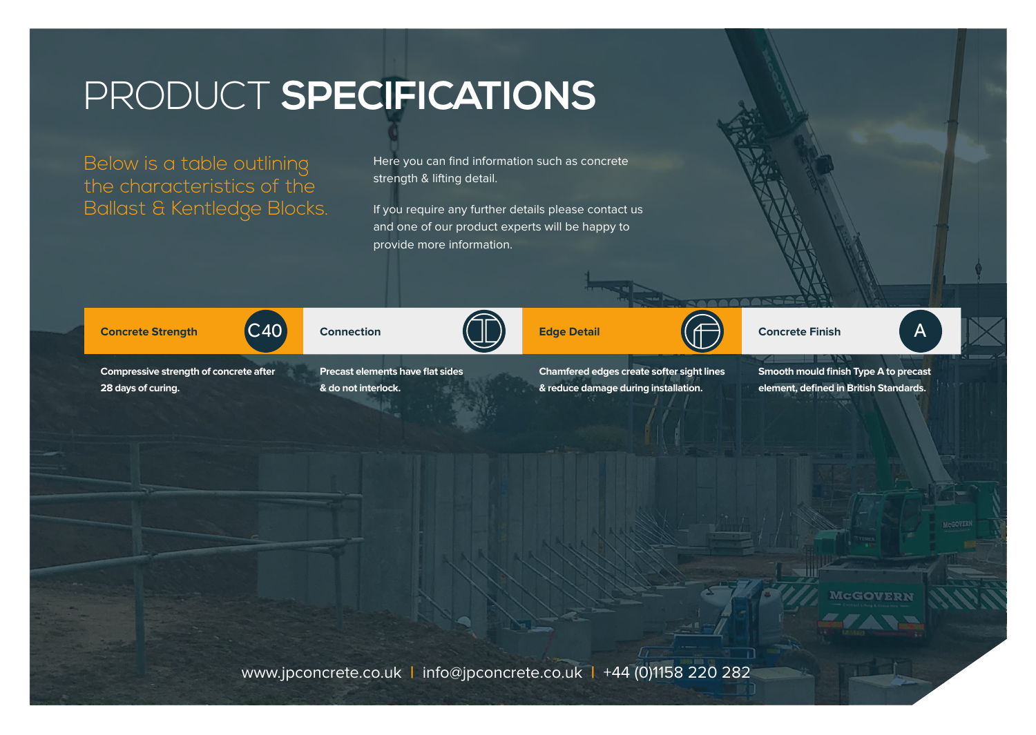## PRODUCT **SPECIFICATIONS**

Below is a table outlining the characteristics of the Ballast & Kentledge Blocks. Here you can find information such as concrete strength & lifting detail.

If you require any further details please contact us and one of our product experts will be happy to provide more information.



**Compressive strength of concrete after 28 days of curing.**



**& do not interlock.**

C40 Connection (UL) Edge Detail (T) Concrete Finish A

**Chamfered edges create softer sight lines & reduce damage during installation.**

**Smooth mould finish Type A to precast element, defined in British Standards.**

www.jpconcrete.co.uk **|** info@jpconcrete.co.uk **|** +44 (0)1158 220 282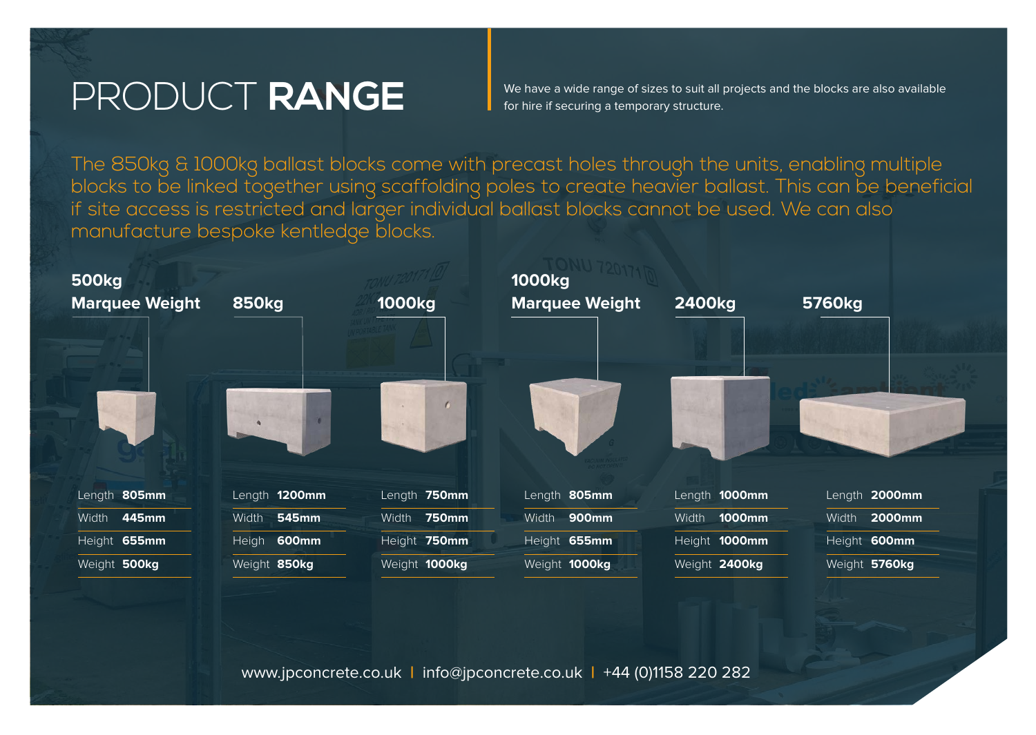## PRODUCT **RANGE**

We have a wide range of sizes to suit all projects and the blocks are also available for hire if securing a temporary structure.

The 850kg & 1000kg ballast blocks come with precast holes through the units, enabling multiple blocks to be linked together using scaffolding poles to create heavier ballast. This can be beneficial if site access is restricted and larger individual ballast blocks cannot be used. We can also manufacture bespoke kentledge blocks.